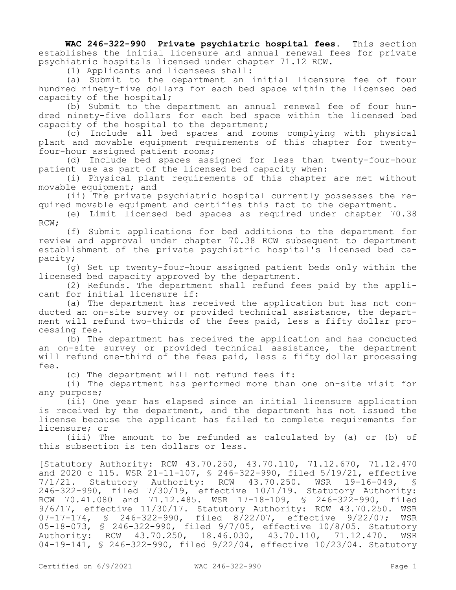**WAC 246-322-990 Private psychiatric hospital fees.** This section establishes the initial licensure and annual renewal fees for private psychiatric hospitals licensed under chapter 71.12 RCW.

(1) Applicants and licensees shall:

(a) Submit to the department an initial licensure fee of four hundred ninety-five dollars for each bed space within the licensed bed capacity of the hospital;

(b) Submit to the department an annual renewal fee of four hundred ninety-five dollars for each bed space within the licensed bed capacity of the hospital to the department;

(c) Include all bed spaces and rooms complying with physical plant and movable equipment requirements of this chapter for twentyfour-hour assigned patient rooms;

(d) Include bed spaces assigned for less than twenty-four-hour patient use as part of the licensed bed capacity when:

(i) Physical plant requirements of this chapter are met without movable equipment; and

(ii) The private psychiatric hospital currently possesses the required movable equipment and certifies this fact to the department.

(e) Limit licensed bed spaces as required under chapter 70.38 RCW;

(f) Submit applications for bed additions to the department for review and approval under chapter 70.38 RCW subsequent to department establishment of the private psychiatric hospital's licensed bed capacity;

(g) Set up twenty-four-hour assigned patient beds only within the licensed bed capacity approved by the department.

(2) Refunds. The department shall refund fees paid by the applicant for initial licensure if:

(a) The department has received the application but has not conducted an on-site survey or provided technical assistance, the department will refund two-thirds of the fees paid, less a fifty dollar processing fee.

(b) The department has received the application and has conducted an on-site survey or provided technical assistance, the department will refund one-third of the fees paid, less a fifty dollar processing fee.

(c) The department will not refund fees if:

(i) The department has performed more than one on-site visit for any purpose;

(ii) One year has elapsed since an initial licensure application is received by the department, and the department has not issued the license because the applicant has failed to complete requirements for licensure; or

(iii) The amount to be refunded as calculated by (a) or (b) of this subsection is ten dollars or less.

[Statutory Authority: RCW 43.70.250, 43.70.110, 71.12.670, 71.12.470 and 2020 c 115. WSR 21-11-107, § 246-322-990, filed 5/19/21, effective  $7/1/21.$  Statutory Authority: RCW 43.70.250. WSR 19-16-049, 246-322-990, filed 7/30/19, effective 10/1/19. Statutory Authority: RCW 70.41.080 and 71.12.485. WSR 17-18-109, § 246-322-990, filed 9/6/17, effective 11/30/17. Statutory Authority: RCW 43.70.250. WSR 07-17-174, § 246-322-990, filed 8/22/07, effective 9/22/07; WSR 05-18-073, § 246-322-990, filed 9/7/05, effective 10/8/05. Statutory Authority: RCW 43.70.250, 18.46.030, 43.70.110, 71.12.470. WSR 04-19-141, § 246-322-990, filed 9/22/04, effective 10/23/04. Statutory